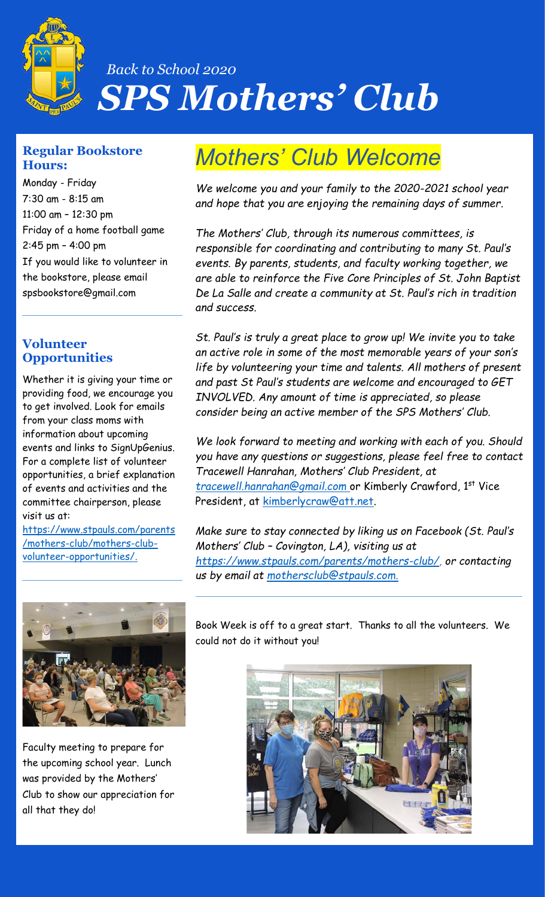

# *Back to School 2020 SPS Mothers' Club*

#### **Regular Bookstore Hours:**

Monday - Friday 7:30 am - 8:15 am 11:00 am – 12:30 pm Friday of a home football game 2:45 pm – 4:00 pm If you would like to volunteer in the bookstore, please email spsbookstore@gmail.com

## **Volunteer Opportunities**

Whether it is giving your time or providing food, we encourage you to get involved. Look for emails from your class moms with information about upcoming events and links to SignUpGenius. For a complete list of volunteer opportunities, a brief explanation of events and activities and the committee chairperson, please visit us at:

[https://www.stpauls.com/parents](https://www.stpauls.com/parents/mothers-club/mothers-club-volunteer-opportunities/) [/mothers-club/mothers-club](https://www.stpauls.com/parents/mothers-club/mothers-club-volunteer-opportunities/)[volunteer-opportunities/.](https://www.stpauls.com/parents/mothers-club/mothers-club-volunteer-opportunities/)



Faculty meeting to prepare for the upcoming school year. Lunch was provided by the Mothers' Club to show our appreciation for all that they do!

# *Mothers' Club Welcome*

*We welcome you and your family to the 2020-2021 school year and hope that you are enjoying the remaining days of summer.*

*The Mothers' Club, through its numerous committees, is responsible for coordinating and contributing to many St. Paul's events. By parents, students, and faculty working together, we are able to reinforce the Five Core Principles of St. John Baptist De La Salle and create a community at St. Paul's rich in tradition and success.* 

*St. Paul's is truly a great place to grow up! We invite you to take an active role in some of the most memorable years of your son's life by volunteering your time and talents. All mothers of present and past St Paul's students are welcome and encouraged to GET INVOLVED. Any amount of time is appreciated, so please consider being an active member of the SPS Mothers' Club.*

*We look forward to meeting and working with each of you. Should you have any questions or suggestions, please feel free to contact Tracewell Hanrahan, Mothers' Club President, at [tracewell.hanrahan@gmail.com](mailto:tracewell.hanrahan@gmail.com)* or Kimberly Crawford, 1st Vice President, at [kimberlycraw@att.net.](mailto:kimberlycraw@att.net)

*Make sure to stay connected by liking us on Facebook (St. Paul's Mothers' Club – Covington, LA), visiting us at [https://www.stpauls.com/parents/mothers-club/,](https://www.stpauls.com/parents/mothers-club/) or contacting us by email at [mothersclub@stpauls.com.](mailto:mothersclub@stpauls.com)*

Book Week is off to a great start. Thanks to all the volunteers. We could not do it without you!